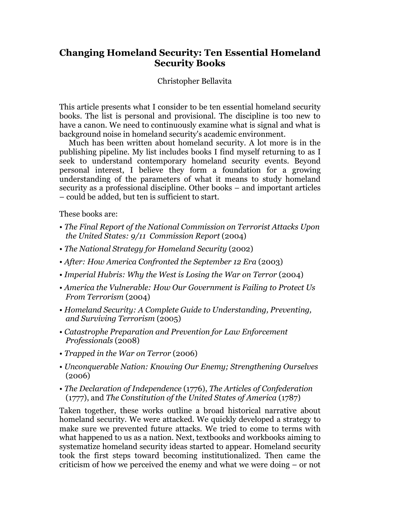# **Changing Homeland Security: Ten Essential Homeland Security Books**

# Christopher Bellavita

This article presents what I consider to be ten essential homeland security books. The list is personal and provisional. The discipline is too new to have a canon. We need to continuously examine what is signal and what is background noise in homeland security's academic environment.

Much has been written about homeland security. A lot more is in the publishing pipeline. My list includes books I find myself returning to as I seek to understand contemporary homeland security events. Beyond personal interest, I believe they form a foundation for a growing understanding of the parameters of what it means to study homeland security as a professional discipline. Other books – and important articles – could be added, but ten is sufficient to start.

These books are:

- *The Final Report of the National Commission on Terrorist Attacks Upon the United States: 9/11 Commission Report* (2004)
- *The National Strategy for Homeland Security* (2002)
- *After: How America Confronted the September 12 Era* (2003)
- *Imperial Hubris: Why the West is Losing the War on Terror* (2004)
- *America the Vulnerable: How Our Government is Failing to Protect Us From Terrorism* (2004)
- *Homeland Security: A Complete Guide to Understanding, Preventing, and Surviving Terrorism* (2005)
- *Catastrophe Preparation and Prevention for Law Enforcement Professionals* (2008)
- *Trapped in the War on Terror* (2006)
- *Unconquerable Nation: Knowing Our Enemy; Strengthening Ourselves* (2006)
- *The Declaration of Independence* (1776), *The Articles of Confederation* (1777), and *The Constitution of the United States of America* (1787)

Taken together, these works outline a broad historical narrative about homeland security. We were attacked. We quickly developed a strategy to make sure we prevented future attacks. We tried to come to terms with what happened to us as a nation. Next, textbooks and workbooks aiming to systematize homeland security ideas started to appear. Homeland security took the first steps toward becoming institutionalized. Then came the criticism of how we perceived the enemy and what we were doing – or not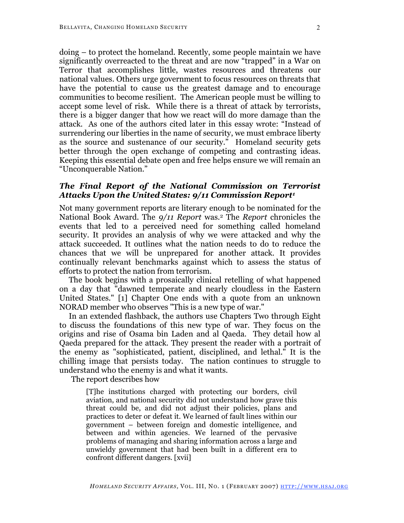doing – to protect the homeland. Recently, some people maintain we have significantly overreacted to the threat and are now "trapped" in a War on Terror that accomplishes little, wastes resources and threatens our national values. Others urge government to focus resources on threats that have the potential to cause us the greatest damage and to encourage communities to become resilient. The American people must be willing to accept some level of risk. While there is a threat of attack by terrorists, there is a bigger danger that how we react will do more damage than the attack. As one of the authors cited later in this essay wrote: "Instead of surrendering our liberties in the name of security, we must embrace liberty as the source and sustenance of our security." Homeland security gets better through the open exchange of competing and contrasting ideas. Keeping this essential debate open and free helps ensure we will remain an "Unconquerable Nation."

## *The Final Report of the National Commission on Terrorist Attacks Upon the United States: 9/11 Commission Report1*

Not many government reports are literary enough to be nominated for the National Book Award. The *9/11 Report* was.2 The *Report* chronicles the events that led to a perceived need for something called homeland security. It provides an analysis of why we were attacked and why the attack succeeded. It outlines what the nation needs to do to reduce the chances that we will be unprepared for another attack. It provides continually relevant benchmarks against which to assess the status of efforts to protect the nation from terrorism.

The book begins with a prosaically clinical retelling of what happened on a day that "dawned temperate and nearly cloudless in the Eastern United States." [1] Chapter One ends with a quote from an unknown NORAD member who observes "This is a new type of war."

In an extended flashback, the authors use Chapters Two through Eight to discuss the foundations of this new type of war. They focus on the origins and rise of Osama bin Laden and al Qaeda. They detail how al Qaeda prepared for the attack. They present the reader with a portrait of the enemy as "sophisticated, patient, disciplined, and lethal." It is the chilling image that persists today. The nation continues to struggle to understand who the enemy is and what it wants.

The report describes how

[T]he institutions charged with protecting our borders, civil aviation, and national security did not understand how grave this threat could be, and did not adjust their policies, plans and practices to deter or defeat it. We learned of fault lines within our government – between foreign and domestic intelligence, and between and within agencies. We learned of the pervasive problems of managing and sharing information across a large and unwieldy government that had been built in a different era to confront different dangers. [xvii]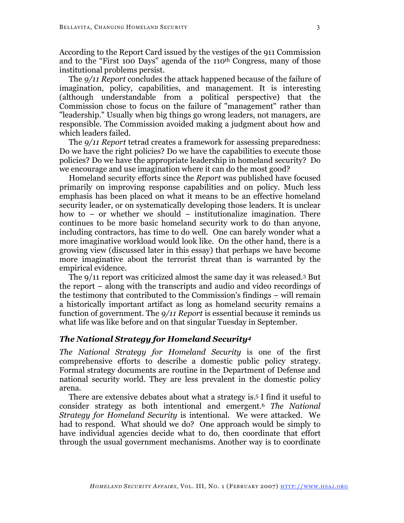According to the Report Card issued by the vestiges of the 911 Commission and to the "First 100 Days" agenda of the 110th Congress, many of those institutional problems persist.

The *9/11 Report* concludes the attack happened because of the failure of imagination, policy, capabilities, and management. It is interesting (although understandable from a political perspective) that the Commission chose to focus on the failure of "management" rather than "leadership." Usually when big things go wrong leaders, not managers, are responsible. The Commission avoided making a judgment about how and which leaders failed.

The *9/11 Report* tetrad creates a framework for assessing preparedness: Do we have the right policies? Do we have the capabilities to execute those policies? Do we have the appropriate leadership in homeland security? Do we encourage and use imagination where it can do the most good?

Homeland security efforts since the *Report* was published have focused primarily on improving response capabilities and on policy. Much less emphasis has been placed on what it means to be an effective homeland security leader, or on systematically developing those leaders. It is unclear how to – or whether we should – institutionalize imagination. There continues to be more basic homeland security work to do than anyone, including contractors, has time to do well. One can barely wonder what a more imaginative workload would look like. On the other hand, there is a growing view (discussed later in this essay) that perhaps we have become more imaginative about the terrorist threat than is warranted by the empirical evidence.

The 9/11 report was criticized almost the same day it was released.3 But the report – along with the transcripts and audio and video recordings of the testimony that contributed to the Commission's findings – will remain a historically important artifact as long as homeland security remains a function of government. The *9/11 Report* is essential because it reminds us what life was like before and on that singular Tuesday in September.

# *The National Strategy for Homeland Security4*

*The National Strategy for Homeland Security* is one of the first comprehensive efforts to describe a domestic public policy strategy. Formal strategy documents are routine in the Department of Defense and national security world. They are less prevalent in the domestic policy arena.

There are extensive debates about what a strategy is. <sup>5</sup> I find it useful to consider strategy as both intentional and emergent.6 *The National Strategy for Homeland Security* is intentional. We were attacked. We had to respond. What should we do? One approach would be simply to have individual agencies decide what to do, then coordinate that effort through the usual government mechanisms. Another way is to coordinate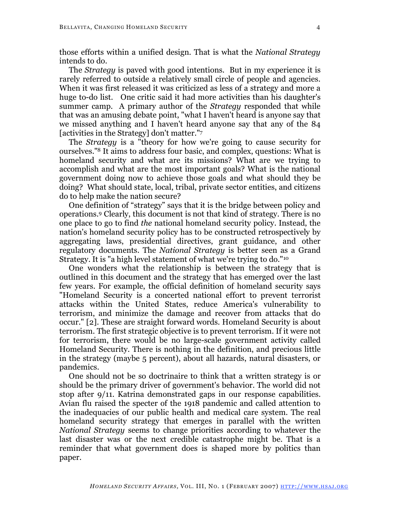those efforts within a unified design. That is what the *National Strategy* intends to do.

The *Strategy* is paved with good intentions. But in my experience it is rarely referred to outside a relatively small circle of people and agencies. When it was first released it was criticized as less of a strategy and more a huge to-do list. One critic said it had more activities than his daughter's summer camp. A primary author of the *Strategy* responded that while that was an amusing debate point, "what I haven't heard is anyone say that we missed anything and I haven't heard anyone say that any of the 84 [activities in the Strategy] don't matter."7

The *Strategy* is a "theory for how we're going to cause security for ourselves."8 It aims to address four basic, and complex, questions: What is homeland security and what are its missions? What are we trying to accomplish and what are the most important goals? What is the national government doing now to achieve those goals and what should they be doing? What should state, local, tribal, private sector entities, and citizens do to help make the nation secure?

One definition of "strategy" says that it is the bridge between policy and operations.9 Clearly, this document is not that kind of strategy. There is no one place to go to find *the* national homeland security policy. Instead, the nation's homeland security policy has to be constructed retrospectively by aggregating laws, presidential directives, grant guidance, and other regulatory documents. The *National Strategy* is better seen as a Grand Strategy. It is "a high level statement of what we're trying to do."10

One wonders what the relationship is between the strategy that is outlined in this document and the strategy that has emerged over the last few years. For example, the official definition of homeland security says "Homeland Security is a concerted national effort to prevent terrorist attacks within the United States, reduce America's vulnerability to terrorism, and minimize the damage and recover from attacks that do occur." [2]. These are straight forward words. Homeland Security is about terrorism. The first strategic objective is to prevent terrorism. If it were not for terrorism, there would be no large-scale government activity called Homeland Security. There is nothing in the definition, and precious little in the strategy (maybe 5 percent), about all hazards, natural disasters, or pandemics.

One should not be so doctrinaire to think that a written strategy is or should be the primary driver of government's behavior. The world did not stop after 9/11. Katrina demonstrated gaps in our response capabilities. Avian flu raised the specter of the 1918 pandemic and called attention to the inadequacies of our public health and medical care system. The real homeland security strategy that emerges in parallel with the written *National Strategy* seems to change priorities according to whatever the last disaster was or the next credible catastrophe might be. That is a reminder that what government does is shaped more by politics than paper.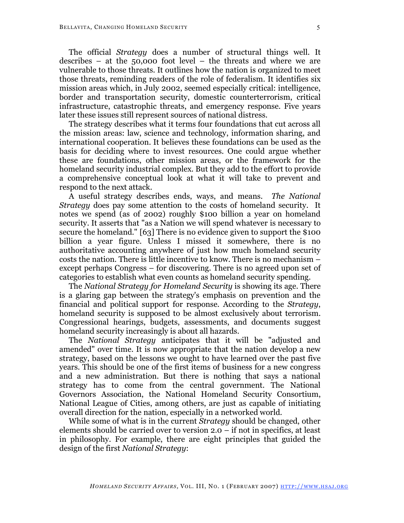The official *Strategy* does a number of structural things well. It describes – at the 50,000 foot level – the threats and where we are vulnerable to those threats. It outlines how the nation is organized to meet those threats, reminding readers of the role of federalism. It identifies six mission areas which, in July 2002, seemed especially critical: intelligence, border and transportation security, domestic counterterrorism, critical infrastructure, catastrophic threats, and emergency response. Five years later these issues still represent sources of national distress.

The strategy describes what it terms four foundations that cut across all the mission areas: law, science and technology, information sharing, and international cooperation. It believes these foundations can be used as the basis for deciding where to invest resources. One could argue whether these are foundations, other mission areas, or the framework for the homeland security industrial complex. But they add to the effort to provide a comprehensive conceptual look at what it will take to prevent and respond to the next attack.

A useful strategy describes ends, ways, and means. *The National Strategy* does pay some attention to the costs of homeland security. It notes we spend (as of 2002) roughly \$100 billion a year on homeland security. It asserts that "as a Nation we will spend whatever is necessary to secure the homeland." [63] There is no evidence given to support the \$100 billion a year figure. Unless I missed it somewhere, there is no authoritative accounting anywhere of just how much homeland security costs the nation. There is little incentive to know. There is no mechanism – except perhaps Congress – for discovering. There is no agreed upon set of categories to establish what even counts as homeland security spending.

The *National Strategy for Homeland Security* is showing its age. There is a glaring gap between the strategy's emphasis on prevention and the financial and political support for response. According to the *Strategy*, homeland security is supposed to be almost exclusively about terrorism. Congressional hearings, budgets, assessments, and documents suggest homeland security increasingly is about all hazards.

The *National Strategy* anticipates that it will be "adjusted and amended" over time. It is now appropriate that the nation develop a new strategy, based on the lessons we ought to have learned over the past five years. This should be one of the first items of business for a new congress and a new administration. But there is nothing that says a national strategy has to come from the central government. The National Governors Association, the National Homeland Security Consortium, National League of Cities, among others, are just as capable of initiating overall direction for the nation, especially in a networked world.

While some of what is in the current *Strategy* should be changed, other elements should be carried over to version 2.0 – if not in specifics, at least in philosophy. For example, there are eight principles that guided the design of the first *National Strategy*: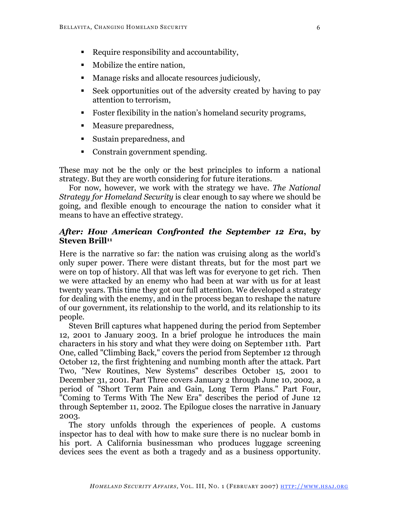- Require responsibility and accountability,
- Mobilize the entire nation,
- **Manage risks and allocate resources judiciously,**
- Seek opportunities out of the adversity created by having to pay attention to terrorism,
- Foster flexibility in the nation's homeland security programs,
- **Measure preparedness,**
- Sustain preparedness, and
- Constrain government spending.

These may not be the only or the best principles to inform a national strategy. But they are worth considering for future iterations.

For now, however, we work with the strategy we have. *The National Strategy for Homeland Security* is clear enough to say where we should be going, and flexible enough to encourage the nation to consider what it means to have an effective strategy.

## *After: How American Confronted the September 12 Era***, by Steven Brill<sup>11</sup>**

Here is the narrative so far: the nation was cruising along as the world's only super power. There were distant threats, but for the most part we were on top of history. All that was left was for everyone to get rich. Then we were attacked by an enemy who had been at war with us for at least twenty years. This time they got our full attention. We developed a strategy for dealing with the enemy, and in the process began to reshape the nature of our government, its relationship to the world, and its relationship to its people.

Steven Brill captures what happened during the period from September 12, 2001 to January 2003. In a brief prologue he introduces the main characters in his story and what they were doing on September 11th. Part One, called "Climbing Back," covers the period from September 12 through October 12, the first frightening and numbing month after the attack. Part Two, "New Routines, New Systems" describes October 15, 2001 to December 31, 2001. Part Three covers January 2 through June 10, 2002, a period of "Short Term Pain and Gain, Long Term Plans." Part Four, "Coming to Terms With The New Era" describes the period of June 12 through September 11, 2002. The Epilogue closes the narrative in January 2003.

The story unfolds through the experiences of people. A customs inspector has to deal with how to make sure there is no nuclear bomb in his port. A California businessman who produces luggage screening devices sees the event as both a tragedy and as a business opportunity.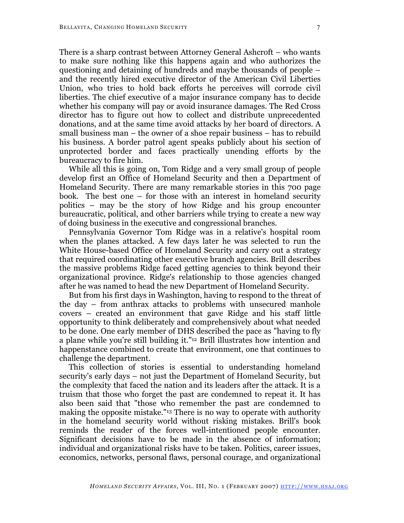There is a sharp contrast between Attorney General Ashcroft – who wants to make sure nothing like this happens again and who authorizes the questioning and detaining of hundreds and maybe thousands of people – and the recently hired executive director of the American Civil Liberties Union, who tries to hold back efforts he perceives will corrode civil liberties. The chief executive of a major insurance company has to decide whether his company will pay or avoid insurance damages. The Red Cross director has to figure out how to collect and distribute unprecedented donations, and at the same time avoid attacks by her board of directors. A small business man – the owner of a shoe repair business – has to rebuild his business. A border patrol agent speaks publicly about his section of unprotected border and faces practically unending efforts by the bureaucracy to fire him.

While all this is going on, Tom Ridge and a very small group of people develop first an Office of Homeland Security and then a Department of Homeland Security. There are many remarkable stories in this 700 page book. The best one – for those with an interest in homeland security politics – may be the story of how Ridge and his group encounter bureaucratic, political, and other barriers while trying to create a new way of doing business in the executive and congressional branches.

Pennsylvania Governor Tom Ridge was in a relative's hospital room when the planes attacked. A few days later he was selected to run the White House-based Office of Homeland Security and carry out a strategy that required coordinating other executive branch agencies. Brill describes the massive problems Ridge faced getting agencies to think beyond their organizational province. Ridge's relationship to those agencies changed after he was named to head the new Department of Homeland Security.

But from his first days in Washington, having to respond to the threat of the day – from anthrax attacks to problems with unsecured manhole covers – created an environment that gave Ridge and his staff little opportunity to think deliberately and comprehensively about what needed to be done. One early member of DHS described the pace as "having to fly a plane while you're still building it."12 Brill illustrates how intention and happenstance combined to create that environment, one that continues to challenge the department.

This collection of stories is essential to understanding homeland security's early days – not just the Department of Homeland Security, but the complexity that faced the nation and its leaders after the attack. It is a truism that those who forget the past are condemned to repeat it. It has also been said that "those who remember the past are condemned to making the opposite mistake."13 There is no way to operate with authority in the homeland security world without risking mistakes. Brill's book reminds the reader of the forces well-intentioned people encounter. Significant decisions have to be made in the absence of information; individual and organizational risks have to be taken. Politics, career issues, economics, networks, personal flaws, personal courage, and organizational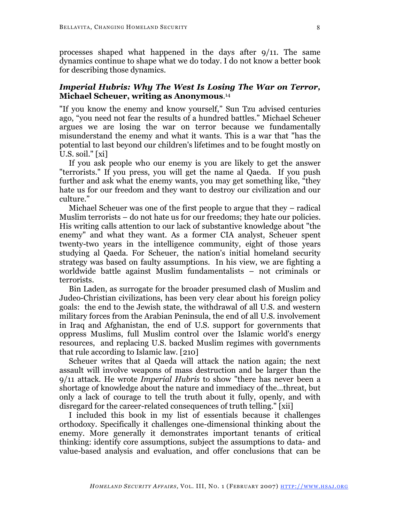processes shaped what happened in the days after 9/11. The same dynamics continue to shape what we do today. I do not know a better book for describing those dynamics.

## *Imperial Hubris: Why The West Is Losing The War on Terror,* **Michael Scheuer, writing as Anonymous**.14

"If you know the enemy and know yourself," Sun Tzu advised centuries ago, "you need not fear the results of a hundred battles." Michael Scheuer argues we are losing the war on terror because we fundamentally misunderstand the enemy and what it wants. This is a war that "has the potential to last beyond our children's lifetimes and to be fought mostly on U.S. soil." [xi]

If you ask people who our enemy is you are likely to get the answer "terrorists." If you press, you will get the name al Qaeda. If you push further and ask what the enemy wants, you may get something like, "they hate us for our freedom and they want to destroy our civilization and our culture."

Michael Scheuer was one of the first people to argue that they – radical Muslim terrorists – do not hate us for our freedoms; they hate our policies. His writing calls attention to our lack of substantive knowledge about "the enemy" and what they want. As a former CIA analyst, Scheuer spent twenty-two years in the intelligence community, eight of those years studying al Qaeda. For Scheuer, the nation's initial homeland security strategy was based on faulty assumptions. In his view, we are fighting a worldwide battle against Muslim fundamentalists – not criminals or terrorists.

Bin Laden, as surrogate for the broader presumed clash of Muslim and Judeo-Christian civilizations, has been very clear about his foreign policy goals: the end to the Jewish state, the withdrawal of all U.S. and western military forces from the Arabian Peninsula, the end of all U.S. involvement in Iraq and Afghanistan, the end of U.S. support for governments that oppress Muslims, full Muslim control over the Islamic world's energy resources, and replacing U.S. backed Muslim regimes with governments that rule according to Islamic law. [210]

Scheuer writes that al Qaeda will attack the nation again; the next assault will involve weapons of mass destruction and be larger than the 9/11 attack. He wrote *Imperial Hubris* to show "there has never been a shortage of knowledge about the nature and immediacy of the...threat, but only a lack of courage to tell the truth about it fully, openly, and with disregard for the career-related consequences of truth telling." [xii]

I included this book in my list of essentials because it challenges orthodoxy. Specifically it challenges one-dimensional thinking about the enemy. More generally it demonstrates important tenants of critical thinking: identify core assumptions, subject the assumptions to data- and value-based analysis and evaluation, and offer conclusions that can be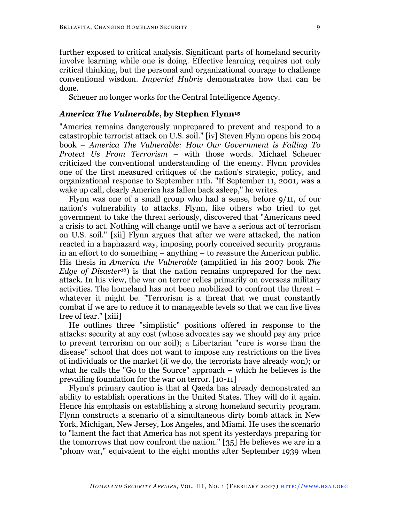done.

Scheuer no longer works for the Central Intelligence Agency.

#### *America The Vulnerable***, by Stephen Flynn15**

"America remains dangerously unprepared to prevent and respond to a catastrophic terrorist attack on U.S. soil." [iv] Steven Flynn opens his 2004 book – *America The Vulnerable: How Our Government is Failing To Protect Us From Terrorism* – with those words. Michael Scheuer criticized the conventional understanding of the enemy. Flynn provides one of the first measured critiques of the nation's strategic, policy, and organizational response to September 11th. "If September 11, 2001, was a wake up call, clearly America has fallen back asleep," he writes.

Flynn was one of a small group who had a sense, before 9/11, of our nation's vulnerability to attacks. Flynn, like others who tried to get government to take the threat seriously, discovered that "Americans need a crisis to act. Nothing will change until we have a serious act of terrorism on U.S. soil." [xii] Flynn argues that after we were attacked, the nation reacted in a haphazard way, imposing poorly conceived security programs in an effort to do something – anything – to reassure the American public. His thesis in *America the Vulnerable* (amplified in his 2007 book *The Edge of Disaster16*) is that the nation remains unprepared for the next attack. In his view, the war on terror relies primarily on overseas military activities. The homeland has not been mobilized to confront the threat – whatever it might be. "Terrorism is a threat that we must constantly combat if we are to reduce it to manageable levels so that we can live lives free of fear." [xiii]

He outlines three "simplistic" positions offered in response to the attacks: security at any cost (whose advocates say we should pay any price to prevent terrorism on our soil); a Libertarian "cure is worse than the disease" school that does not want to impose any restrictions on the lives of individuals or the market (if we do, the terrorists have already won); or what he calls the "Go to the Source" approach – which he believes is the prevailing foundation for the war on terror. [10-11]

Flynn's primary caution is that al Qaeda has already demonstrated an ability to establish operations in the United States. They will do it again. Hence his emphasis on establishing a strong homeland security program. Flynn constructs a scenario of a simultaneous dirty bomb attack in New York, Michigan, New Jersey, Los Angeles, and Miami. He uses the scenario to "lament the fact that America has not spent its yesterdays preparing for the tomorrows that now confront the nation." [35] He believes we are in a "phony war," equivalent to the eight months after September 1939 when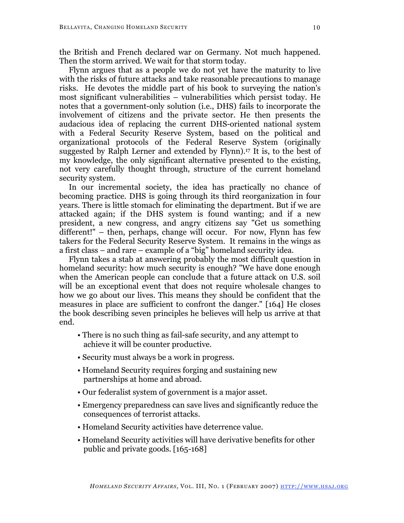the British and French declared war on Germany. Not much happened. Then the storm arrived. We wait for that storm today.

Flynn argues that as a people we do not yet have the maturity to live with the risks of future attacks and take reasonable precautions to manage risks. He devotes the middle part of his book to surveying the nation's most significant vulnerabilities – vulnerabilities which persist today. He notes that a government-only solution (i.e., DHS) fails to incorporate the involvement of citizens and the private sector. He then presents the audacious idea of replacing the current DHS-oriented national system with a Federal Security Reserve System, based on the political and organizational protocols of the Federal Reserve System (originally suggested by Ralph Lerner and extended by Flynn).17 It is, to the best of my knowledge, the only significant alternative presented to the existing, not very carefully thought through, structure of the current homeland security system.

In our incremental society, the idea has practically no chance of becoming practice. DHS is going through its third reorganization in four years. There is little stomach for eliminating the department. But if we are attacked again; if the DHS system is found wanting; and if a new president, a new congress, and angry citizens say "Get us something different!" – then, perhaps, change will occur. For now, Flynn has few takers for the Federal Security Reserve System. It remains in the wings as a first class – and rare – example of a "big" homeland security idea.

Flynn takes a stab at answering probably the most difficult question in homeland security: how much security is enough? "We have done enough when the American people can conclude that a future attack on U.S. soil will be an exceptional event that does not require wholesale changes to how we go about our lives. This means they should be confident that the measures in place are sufficient to confront the danger." [164] He closes the book describing seven principles he believes will help us arrive at that end.

- There is no such thing as fail-safe security, and any attempt to achieve it will be counter productive.
- Security must always be a work in progress.
- Homeland Security requires forging and sustaining new partnerships at home and abroad.
- Our federalist system of government is a major asset.
- Emergency preparedness can save lives and significantly reduce the consequences of terrorist attacks.
- Homeland Security activities have deterrence value.
- Homeland Security activities will have derivative benefits for other public and private goods. [165-168]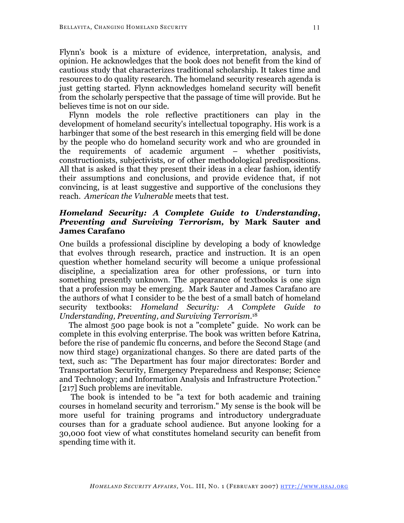Flynn's book is a mixture of evidence, interpretation, analysis, and opinion. He acknowledges that the book does not benefit from the kind of cautious study that characterizes traditional scholarship. It takes time and resources to do quality research. The homeland security research agenda is just getting started. Flynn acknowledges homeland security will benefit from the scholarly perspective that the passage of time will provide. But he believes time is not on our side.

Flynn models the role reflective practitioners can play in the development of homeland security's intellectual topography. His work is a harbinger that some of the best research in this emerging field will be done by the people who do homeland security work and who are grounded in the requirements of academic argument – whether positivists, constructionists, subjectivists, or of other methodological predispositions. All that is asked is that they present their ideas in a clear fashion, identify their assumptions and conclusions, and provide evidence that, if not convincing, is at least suggestive and supportive of the conclusions they reach. *American the Vulnerable* meets that test.

## *Homeland Security: A Complete Guide to Understanding, Preventing and Surviving Terrorism,* **by Mark Sauter and James Carafano**

One builds a professional discipline by developing a body of knowledge that evolves through research, practice and instruction. It is an open question whether homeland security will become a unique professional discipline, a specialization area for other professions, or turn into something presently unknown. The appearance of textbooks is one sign that a profession may be emerging. Mark Sauter and James Carafano are the authors of what I consider to be the best of a small batch of homeland security textbooks: *Homeland Security: A Complete Guide to Understanding, Preventing, and Surviving Terrorism*.18

The almost 500 page book is not a "complete" guide. No work can be complete in this evolving enterprise. The book was written before Katrina, before the rise of pandemic flu concerns, and before the Second Stage (and now third stage) organizational changes. So there are dated parts of the text, such as: "The Department has four major directorates: Border and Transportation Security, Emergency Preparedness and Response; Science and Technology; and Information Analysis and Infrastructure Protection." [217] Such problems are inevitable.

The book is intended to be "a text for both academic and training courses in homeland security and terrorism." My sense is the book will be more useful for training programs and introductory undergraduate courses than for a graduate school audience. But anyone looking for a 30,000 foot view of what constitutes homeland security can benefit from spending time with it.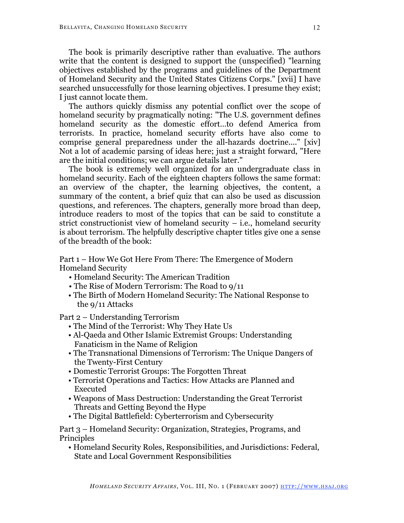The book is primarily descriptive rather than evaluative. The authors write that the content is designed to support the (unspecified) "learning objectives established by the programs and guidelines of the Department of Homeland Security and the United States Citizens Corps." [xvii] I have searched unsuccessfully for those learning objectives. I presume they exist; I just cannot locate them.

The authors quickly dismiss any potential conflict over the scope of homeland security by pragmatically noting: "The U.S. government defines homeland security as the domestic effort…to defend America from terrorists. In practice, homeland security efforts have also come to comprise general preparedness under the all-hazards doctrine...." [xiv] Not a lot of academic parsing of ideas here; just a straight forward, "Here are the initial conditions; we can argue details later."

The book is extremely well organized for an undergraduate class in homeland security. Each of the eighteen chapters follows the same format: an overview of the chapter, the learning objectives, the content, a summary of the content, a brief quiz that can also be used as discussion questions, and references. The chapters, generally more broad than deep, introduce readers to most of the topics that can be said to constitute a strict constructionist view of homeland security  $-$  i.e., homeland security is about terrorism. The helpfully descriptive chapter titles give one a sense of the breadth of the book:

Part 1 – How We Got Here From There: The Emergence of Modern Homeland Security

- Homeland Security: The American Tradition
- The Rise of Modern Terrorism: The Road to 9/11
- The Birth of Modern Homeland Security: The National Response to the 9/11 Attacks

Part 2 – Understanding Terrorism

- The Mind of the Terrorist: Why They Hate Us
- Al-Qaeda and Other Islamic Extremist Groups: Understanding Fanaticism in the Name of Religion
- The Transnational Dimensions of Terrorism: The Unique Dangers of the Twenty-First Century
- Domestic Terrorist Groups: The Forgotten Threat
- Terrorist Operations and Tactics: How Attacks are Planned and Executed
- Weapons of Mass Destruction: Understanding the Great Terrorist Threats and Getting Beyond the Hype
- The Digital Battlefield: Cyberterrorism and Cybersecurity

Part 3 – Homeland Security: Organization, Strategies, Programs, and Principles

• Homeland Security Roles, Responsibilities, and Jurisdictions: Federal, State and Local Government Responsibilities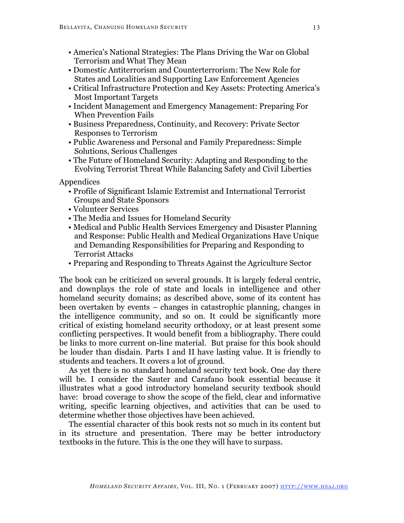- America's National Strategies: The Plans Driving the War on Global Terrorism and What They Mean
- Domestic Antiterrorism and Counterterrorism: The New Role for States and Localities and Supporting Law Enforcement Agencies
- Critical Infrastructure Protection and Key Assets: Protecting America's Most Important Targets
- Incident Management and Emergency Management: Preparing For When Prevention Fails
- Business Preparedness, Continuity, and Recovery: Private Sector Responses to Terrorism
- Public Awareness and Personal and Family Preparedness: Simple Solutions, Serious Challenges
- The Future of Homeland Security: Adapting and Responding to the Evolving Terrorist Threat While Balancing Safety and Civil Liberties

Appendices

- Profile of Significant Islamic Extremist and International Terrorist Groups and State Sponsors
- Volunteer Services
- The Media and Issues for Homeland Security
- Medical and Public Health Services Emergency and Disaster Planning and Response: Public Health and Medical Organizations Have Unique and Demanding Responsibilities for Preparing and Responding to Terrorist Attacks
- Preparing and Responding to Threats Against the Agriculture Sector

The book can be criticized on several grounds. It is largely federal centric, and downplays the role of state and locals in intelligence and other homeland security domains; as described above, some of its content has been overtaken by events – changes in catastrophic planning, changes in the intelligence community, and so on. It could be significantly more critical of existing homeland security orthodoxy, or at least present some conflicting perspectives. It would benefit from a bibliography. There could be links to more current on-line material. But praise for this book should be louder than disdain. Parts I and II have lasting value. It is friendly to students and teachers. It covers a lot of ground.

As yet there is no standard homeland security text book. One day there will be. I consider the Sauter and Carafano book essential because it illustrates what a good introductory homeland security textbook should have: broad coverage to show the scope of the field, clear and informative writing, specific learning objectives, and activities that can be used to determine whether those objectives have been achieved.

The essential character of this book rests not so much in its content but in its structure and presentation. There may be better introductory textbooks in the future. This is the one they will have to surpass.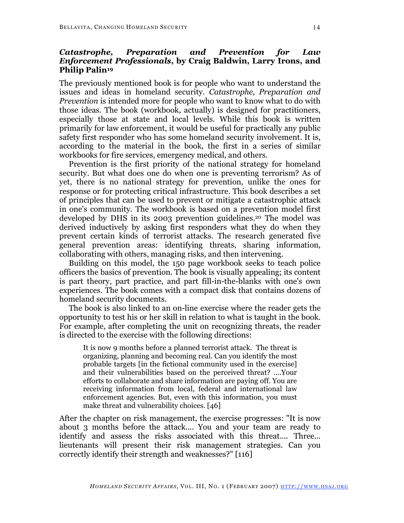## *Catastrophe, Preparation and Prevention for Law Enforcement Professionals***, by Craig Baldwin, Larry Irons, and Philip Palin19**

The previously mentioned book is for people who want to understand the issues and ideas in homeland security. *Catastrophe, Preparation and Prevention* is intended more for people who want to know what to do with those ideas. The book (workbook, actually) is designed for practitioners, especially those at state and local levels. While this book is written primarily for law enforcement, it would be useful for practically any public safety first responder who has some homeland security involvement. It is, according to the material in the book, the first in a series of similar workbooks for fire services, emergency medical, and others.

Prevention is the first priority of the national strategy for homeland security. But what does one do when one is preventing terrorism? As of yet, there is no national strategy for prevention, unlike the ones for response or for protecting critical infrastructure. This book describes a set of principles that can be used to prevent or mitigate a catastrophic attack in one's community. The workbook is based on a prevention model first developed by DHS in its 2003 prevention guidelines.20 The model was derived inductively by asking first responders what they do when they prevent certain kinds of terrorist attacks. The research generated five general prevention areas: identifying threats, sharing information, collaborating with others, managing risks, and then intervening.

Building on this model, the 150 page workbook seeks to teach police officers the basics of prevention. The book is visually appealing; its content is part theory, part practice, and part fill-in-the-blanks with one's own experiences. The book comes with a compact disk that contains dozens of homeland security documents.

The book is also linked to an on-line exercise where the reader gets the opportunity to test his or her skill in relation to what is taught in the book. For example, after completing the unit on recognizing threats, the reader is directed to the exercise with the following directions:

It is now 9 months before a planned terrorist attack. The threat is organizing, planning and becoming real. Can you identify the most probable targets [in the fictional community used in the exercise] and their vulnerabilities based on the perceived threat? ....Your efforts to collaborate and share information are paying off. You are receiving information from local, federal and international law enforcement agencies. But, even with this information, you must make threat and vulnerability choices. [46]

After the chapter on risk management, the exercise progresses: "It is now about 3 months before the attack.... You and your team are ready to identify and assess the risks associated with this threat.... Three... lieutenants will present their risk management strategies. Can you correctly identify their strength and weaknesses?" [116]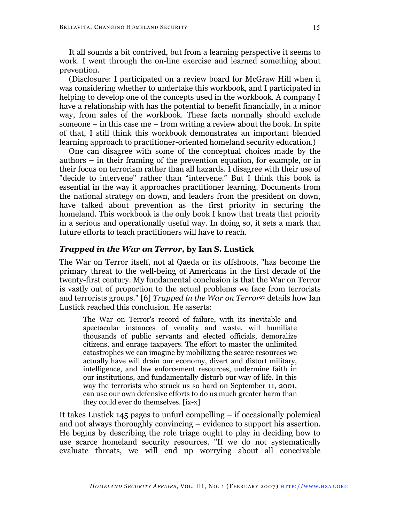It all sounds a bit contrived, but from a learning perspective it seems to work. I went through the on-line exercise and learned something about prevention.

(Disclosure: I participated on a review board for McGraw Hill when it was considering whether to undertake this workbook, and I participated in helping to develop one of the concepts used in the workbook. A company I have a relationship with has the potential to benefit financially, in a minor way, from sales of the workbook. These facts normally should exclude someone  $-$  in this case me  $-$  from writing a review about the book. In spite of that, I still think this workbook demonstrates an important blended learning approach to practitioner-oriented homeland security education.)

One can disagree with some of the conceptual choices made by the authors – in their framing of the prevention equation, for example, or in their focus on terrorism rather than all hazards. I disagree with their use of "decide to intervene" rather than "intervene." But I think this book is essential in the way it approaches practitioner learning. Documents from the national strategy on down, and leaders from the president on down, have talked about prevention as the first priority in securing the homeland. This workbook is the only book I know that treats that priority in a serious and operationally useful way. In doing so, it sets a mark that future efforts to teach practitioners will have to reach.

#### *Trapped in the War on Terror,* **by Ian S. Lustick**

The War on Terror itself, not al Qaeda or its offshoots, "has become the primary threat to the well-being of Americans in the first decade of the twenty-first century. My fundamental conclusion is that the War on Terror is vastly out of proportion to the actual problems we face from terrorists and terrorists groups." [6] *Trapped in the War on Terror21* details how Ian Lustick reached this conclusion. He asserts:

The War on Terror's record of failure, with its inevitable and spectacular instances of venality and waste, will humiliate thousands of public servants and elected officials, demoralize citizens, and enrage taxpayers. The effort to master the unlimited catastrophes we can imagine by mobilizing the scarce resources we actually have will drain our economy, divert and distort military, intelligence, and law enforcement resources, undermine faith in our institutions, and fundamentally disturb our way of life. In this way the terrorists who struck us so hard on September 11, 2001, can use our own defensive efforts to do us much greater harm than they could ever do themselves. [ix-x]

It takes Lustick 145 pages to unfurl compelling – if occasionally polemical and not always thoroughly convincing – evidence to support his assertion. He begins by describing the role triage ought to play in deciding how to use scarce homeland security resources. "If we do not systematically evaluate threats, we will end up worrying about all conceivable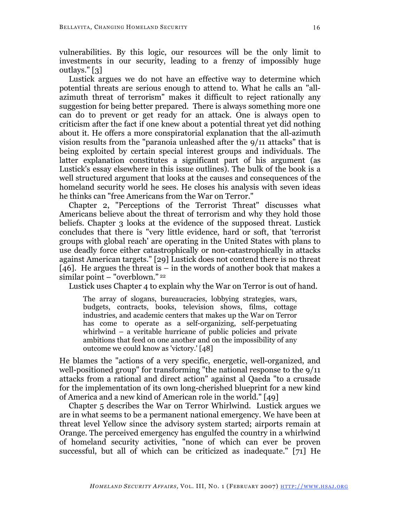vulnerabilities. By this logic, our resources will be the only limit to investments in our security, leading to a frenzy of impossibly huge outlays." [3]

Lustick argues we do not have an effective way to determine which potential threats are serious enough to attend to. What he calls an "allazimuth threat of terrorism" makes it difficult to reject rationally any suggestion for being better prepared. There is always something more one can do to prevent or get ready for an attack. One is always open to criticism after the fact if one knew about a potential threat yet did nothing about it. He offers a more conspiratorial explanation that the all-azimuth vision results from the "paranoia unleashed after the 9/11 attacks" that is being exploited by certain special interest groups and individuals. The latter explanation constitutes a significant part of his argument (as Lustick's essay elsewhere in this issue outlines). The bulk of the book is a well structured argument that looks at the causes and consequences of the homeland security world he sees. He closes his analysis with seven ideas he thinks can "free Americans from the War on Terror."

Chapter 2, "Perceptions of the Terrorist Threat" discusses what Americans believe about the threat of terrorism and why they hold those beliefs. Chapter 3 looks at the evidence of the supposed threat. Lustick concludes that there is "very little evidence, hard or soft, that 'terrorist groups with global reach' are operating in the United States with plans to use deadly force either catastrophically or non-catastrophically in attacks against American targets." [29] Lustick does not contend there is no threat [46]. He argues the threat is  $-$  in the words of another book that makes a similar point – "overblown." <sup>22</sup>

Lustick uses Chapter 4 to explain why the War on Terror is out of hand.

The array of slogans, bureaucracies, lobbying strategies, wars, budgets, contracts, books, television shows, films, cottage industries, and academic centers that makes up the War on Terror has come to operate as a self-organizing, self-perpetuating whirlwind – a veritable hurricane of public policies and private ambitions that feed on one another and on the impossibility of any outcome we could know as 'victory.' [48]

He blames the "actions of a very specific, energetic, well-organized, and well-positioned group" for transforming "the national response to the 9/11 attacks from a rational and direct action" against al Qaeda "to a crusade for the implementation of its own long-cherished blueprint for a new kind of America and a new kind of American role in the world." [49]

Chapter 5 describes the War on Terror Whirlwind. Lustick argues we are in what seems to be a permanent national emergency. We have been at threat level Yellow since the advisory system started; airports remain at Orange. The perceived emergency has engulfed the country in a whirlwind of homeland security activities, "none of which can ever be proven successful, but all of which can be criticized as inadequate." [71] He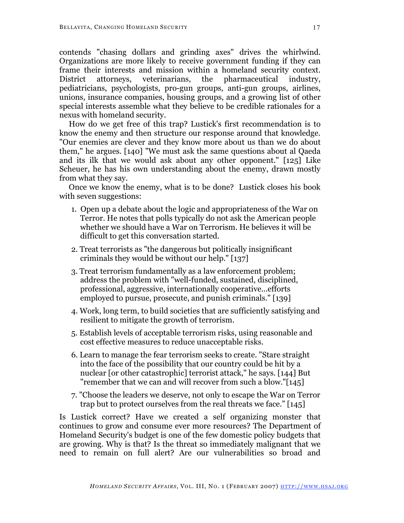contends "chasing dollars and grinding axes" drives the whirlwind. Organizations are more likely to receive government funding if they can frame their interests and mission within a homeland security context. District attorneys, veterinarians, the pharmaceutical industry, pediatricians, psychologists, pro-gun groups, anti-gun groups, airlines, unions, insurance companies, housing groups, and a growing list of other special interests assemble what they believe to be credible rationales for a nexus with homeland security.

How do we get free of this trap? Lustick's first recommendation is to know the enemy and then structure our response around that knowledge. "Our enemies are clever and they know more about us than we do about them," he argues. [140] "We must ask the same questions about al Qaeda and its ilk that we would ask about any other opponent." [125] Like Scheuer, he has his own understanding about the enemy, drawn mostly from what they say.

Once we know the enemy, what is to be done? Lustick closes his book with seven suggestions:

- 1. Open up a debate about the logic and appropriateness of the War on Terror. He notes that polls typically do not ask the American people whether we should have a War on Terrorism. He believes it will be difficult to get this conversation started.
- 2. Treat terrorists as "the dangerous but politically insignificant criminals they would be without our help." [137]
- 3. Treat terrorism fundamentally as a law enforcement problem; address the problem with "well-funded, sustained, disciplined, professional, aggressive, internationally cooperative...efforts employed to pursue, prosecute, and punish criminals." [139]
- 4. Work, long term, to build societies that are sufficiently satisfying and resilient to mitigate the growth of terrorism.
- 5. Establish levels of acceptable terrorism risks, using reasonable and cost effective measures to reduce unacceptable risks.
- 6. Learn to manage the fear terrorism seeks to create. "Stare straight into the face of the possibility that our country could be hit by a nuclear [or other catastrophic] terrorist attack," he says. [144] But "remember that we can and will recover from such a blow."[145]
- 7. "Choose the leaders we deserve, not only to escape the War on Terror trap but to protect ourselves from the real threats we face." [145]

Is Lustick correct? Have we created a self organizing monster that continues to grow and consume ever more resources? The Department of Homeland Security's budget is one of the few domestic policy budgets that are growing. Why is that? Is the threat so immediately malignant that we need to remain on full alert? Are our vulnerabilities so broad and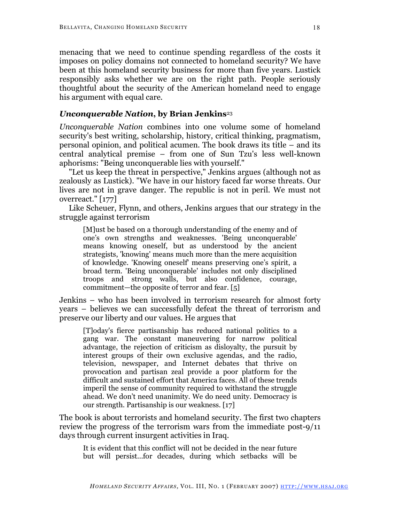menacing that we need to continue spending regardless of the costs it imposes on policy domains not connected to homeland security? We have been at this homeland security business for more than five years. Lustick responsibly asks whether we are on the right path. People seriously thoughtful about the security of the American homeland need to engage his argument with equal care.

## *Unconquerable Nation***, by Brian Jenkins**<sup>23</sup>

*Unconquerable Nation* combines into one volume some of homeland security's best writing, scholarship, history, critical thinking, pragmatism, personal opinion, and political acumen. The book draws its title – and its central analytical premise – from one of Sun Tzu's less well-known aphorisms: "Being unconquerable lies with yourself."

"Let us keep the threat in perspective," Jenkins argues (although not as zealously as Lustick). "We have in our history faced far worse threats. Our lives are not in grave danger. The republic is not in peril. We must not overreact." [177]

Like Scheuer, Flynn, and others, Jenkins argues that our strategy in the struggle against terrorism

[M]ust be based on a thorough understanding of the enemy and of one's own strengths and weaknesses. 'Being unconquerable' means knowing oneself, but as understood by the ancient strategists, 'knowing' means much more than the mere acquisition of knowledge. 'Knowing oneself' means preserving one's spirit, a broad term. 'Being unconquerable' includes not only disciplined troops and strong walls, but also confidence, courage, commitment—the opposite of terror and fear. [5]

Jenkins – who has been involved in terrorism research for almost forty years – believes we can successfully defeat the threat of terrorism and preserve our liberty and our values. He argues that

[T]oday's fierce partisanship has reduced national politics to a gang war. The constant maneuvering for narrow political advantage, the rejection of criticism as disloyalty, the pursuit by interest groups of their own exclusive agendas, and the radio, television, newspaper, and Internet debates that thrive on provocation and partisan zeal provide a poor platform for the difficult and sustained effort that America faces. All of these trends imperil the sense of community required to withstand the struggle ahead. We don't need unanimity. We do need unity. Democracy is our strength. Partisanship is our weakness. [17]

The book is about terrorists and homeland security. The first two chapters review the progress of the terrorism wars from the immediate post-9/11 days through current insurgent activities in Iraq.

It is evident that this conflict will not be decided in the near future but will persist...for decades, during which setbacks will be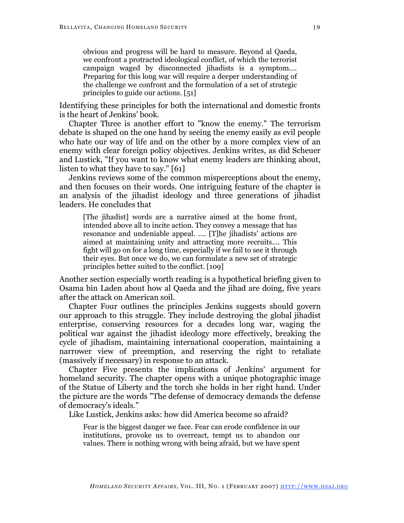obvious and progress will be hard to measure. Beyond al Qaeda, we confront a protracted ideological conflict, of which the terrorist campaign waged by disconnected jihadists is a symptom.... Preparing for this long war will require a deeper understanding of the challenge we confront and the formulation of a set of strategic principles to guide our actions. [51]

Identifying these principles for both the international and domestic fronts is the heart of Jenkins' book.

Chapter Three is another effort to "know the enemy." The terrorism debate is shaped on the one hand by seeing the enemy easily as evil people who hate our way of life and on the other by a more complex view of an enemy with clear foreign policy objectives. Jenkins writes, as did Scheuer and Lustick, "If you want to know what enemy leaders are thinking about, listen to what they have to say." [61]

Jenkins reviews some of the common misperceptions about the enemy, and then focuses on their words. One intriguing feature of the chapter is an analysis of the jihadist ideology and three generations of jihadist leaders. He concludes that

[The jihadist] words are a narrative aimed at the home front, intended above all to incite action. They convey a message that has resonance and undeniable appeal. .... [T]he jihadists' actions are aimed at maintaining unity and attracting more recruits.... This fight will go on for a long time, especially if we fail to see it through their eyes. But once we do, we can formulate a new set of strategic principles better suited to the conflict. [109]

Another section especially worth reading is a hypothetical briefing given to Osama bin Laden about how al Qaeda and the jihad are doing, five years after the attack on American soil.

Chapter Four outlines the principles Jenkins suggests should govern our approach to this struggle. They include destroying the global jihadist enterprise, conserving resources for a decades long war, waging the political war against the jihadist ideology more effectively, breaking the cycle of jihadism, maintaining international cooperation, maintaining a narrower view of preemption, and reserving the right to retaliate (massively if necessary) in response to an attack.

Chapter Five presents the implications of Jenkins' argument for homeland security. The chapter opens with a unique photographic image of the Statue of Liberty and the torch she holds in her right hand. Under the picture are the words "The defense of democracy demands the defense of democracy's ideals."

Like Lustick, Jenkins asks: how did America become so afraid?

Fear is the biggest danger we face. Fear can erode confidence in our institutions, provoke us to overreact, tempt us to abandon our values. There is nothing wrong with being afraid, but we have spent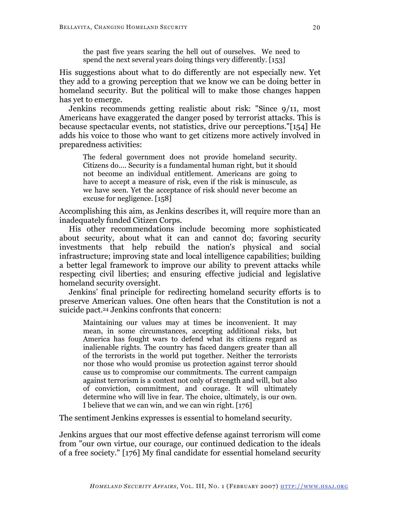the past five years scaring the hell out of ourselves. We need to spend the next several years doing things very differently. [153]

His suggestions about what to do differently are not especially new. Yet they add to a growing perception that we know we can be doing better in homeland security. But the political will to make those changes happen has yet to emerge.

Jenkins recommends getting realistic about risk: "Since 9/11, most Americans have exaggerated the danger posed by terrorist attacks. This is because spectacular events, not statistics, drive our perceptions."[154] He adds his voice to those who want to get citizens more actively involved in preparedness activities:

The federal government does not provide homeland security. Citizens do.... Security is a fundamental human right, but it should not become an individual entitlement. Americans are going to have to accept a measure of risk, even if the risk is minuscule, as we have seen. Yet the acceptance of risk should never become an excuse for negligence. [158]

Accomplishing this aim, as Jenkins describes it, will require more than an inadequately funded Citizen Corps.

His other recommendations include becoming more sophisticated about security, about what it can and cannot do; favoring security investments that help rebuild the nation's physical and social infrastructure; improving state and local intelligence capabilities; building a better legal framework to improve our ability to prevent attacks while respecting civil liberties; and ensuring effective judicial and legislative homeland security oversight.

Jenkins' final principle for redirecting homeland security efforts is to preserve American values. One often hears that the Constitution is not a suicide pact.<sup>24</sup> Jenkins confronts that concern:

Maintaining our values may at times be inconvenient. It may mean, in some circumstances, accepting additional risks, but America has fought wars to defend what its citizens regard as inalienable rights. The country has faced dangers greater than all of the terrorists in the world put together. Neither the terrorists nor those who would promise us protection against terror should cause us to compromise our commitments. The current campaign against terrorism is a contest not only of strength and will, but also of conviction, commitment, and courage. It will ultimately determine who will live in fear. The choice, ultimately, is our own. I believe that we can win, and we can win right. [176]

The sentiment Jenkins expresses is essential to homeland security.

Jenkins argues that our most effective defense against terrorism will come from "our own virtue, our courage, our continued dedication to the ideals of a free society." [176] My final candidate for essential homeland security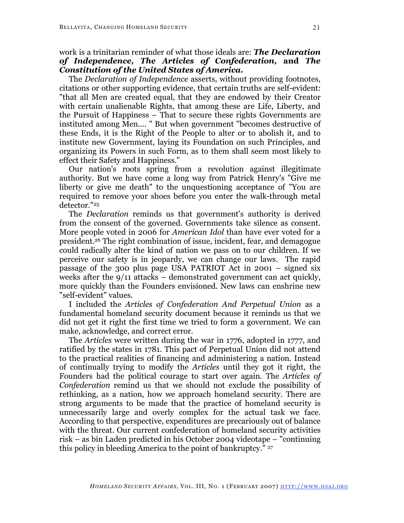# work is a trinitarian reminder of what those ideals are: *The Declaration of Independence, The Articles of Confederation,* **and** *The Constitution of the United States of America.*

The *Declaration of Independence* asserts, without providing footnotes, citations or other supporting evidence, that certain truths are self-evident: "that all Men are created equal, that they are endowed by their Creator with certain unalienable Rights, that among these are Life, Liberty, and the Pursuit of Happiness – That to secure these rights Governments are instituted among Men.... " But when government "becomes destructive of these Ends, it is the Right of the People to alter or to abolish it, and to institute new Government, laying its Foundation on such Principles, and organizing its Powers in such Form, as to them shall seem most likely to effect their Safety and Happiness."

Our nation's roots spring from a revolution against illegitimate authority. But we have come a long way from Patrick Henry's "Give me liberty or give me death" to the unquestioning acceptance of "You are required to remove your shoes before you enter the walk-through metal detector."25

The *Declaration* reminds us that government's authority is derived from the consent of the governed. Governments take silence as consent. More people voted in 2006 for *American Idol* than have ever voted for a president.26 The right combination of issue, incident, fear, and demagogue could radically alter the kind of nation we pass on to our children. If we perceive our safety is in jeopardy, we can change our laws. The rapid passage of the 300 plus page USA PATRIOT Act in 2001 – signed six weeks after the 9/11 attacks – demonstrated government can act quickly, more quickly than the Founders envisioned. New laws can enshrine new "self-evident" values.

I included the *Articles of Confederation And Perpetual Union* as a fundamental homeland security document because it reminds us that we did not get it right the first time we tried to form a government. We can make, acknowledge, and correct error.

The *Articles* were written during the war in 1776, adopted in 1777, and ratified by the states in 1781. This pact of Perpetual Union did not attend to the practical realities of financing and administering a nation. Instead of continually trying to modify the *Articles* until they got it right, the Founders had the political courage to start over again. The *Articles of Confederation* remind us that we should not exclude the possibility of rethinking, as a nation, how we approach homeland security. There are strong arguments to be made that the practice of homeland security is unnecessarily large and overly complex for the actual task we face. According to that perspective, expenditures are precariously out of balance with the threat. Our current confederation of homeland security activities risk – as bin Laden predicted in his October 2004 videotape – "continuing this policy in bleeding America to the point of bankruptcy." <sup>27</sup>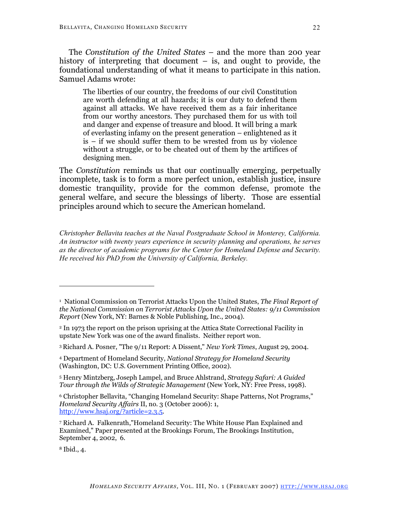The *Constitution of the United States* – and the more than 200 year history of interpreting that document  $-$  is, and ought to provide, the foundational understanding of what it means to participate in this nation. Samuel Adams wrote:

The liberties of our country, the freedoms of our civil Constitution are worth defending at all hazards; it is our duty to defend them against all attacks. We have received them as a fair inheritance from our worthy ancestors. They purchased them for us with toil and danger and expense of treasure and blood. It will bring a mark of everlasting infamy on the present generation – enlightened as it is – if we should suffer them to be wrested from us by violence without a struggle, or to be cheated out of them by the artifices of designing men.

The *Constitution* reminds us that our continually emerging, perpetually incomplete, task is to form a more perfect union, establish justice, insure domestic tranquility, provide for the common defense, promote the general welfare, and secure the blessings of liberty. Those are essential principles around which to secure the American homeland.

*Christopher Bellavita teaches at the Naval Postgraduate School in Monterey, California. An instructor with twenty years experience in security planning and operations, he serves as the director of academic programs for the Center for Homeland Defense and Security. He received his PhD from the University of California, Berkeley.*

<sup>8</sup> Ibid., 4.

<sup>1</sup> National Commission on Terrorist Attacks Upon the United States, *The Final Report of the National Commission on Terrorist Attacks Upon the United States: 9/11 Commission Report* (New York, NY: Barnes & Noble Publishing, Inc., 2004).

<sup>2</sup> In 1973 the report on the prison uprising at the Attica State Correctional Facility in upstate New York was one of the award finalists. Neither report won.

<sup>3</sup> Richard A. Posner, "The 9/11 Report: A Dissent," *New York Times*, August 29, 2004.

<sup>4</sup> Department of Homeland Security, *National Strategy for Homeland Security* (Washington, DC: U.S. Government Printing Office, 2002).

<sup>5</sup> Henry Mintzberg, Joseph Lampel, and Bruce Ahlstrand, *Strategy Safari: A Guided Tour through the Wilds of Strategic Management* (New York, NY: Free Press, 1998).

<sup>6</sup> Christopher Bellavita, "Changing Homeland Security: Shape Patterns, Not Programs," *Homeland Security Affairs* II, no. 3 (October 2006): 1, http://www.hsaj.org/?article=2.3.5.

<sup>7</sup> Richard A. Falkenrath,"Homeland Security: The White House Plan Explained and Examined," Paper presented at the Brookings Forum, The Brookings Institution, September 4, 2002, 6.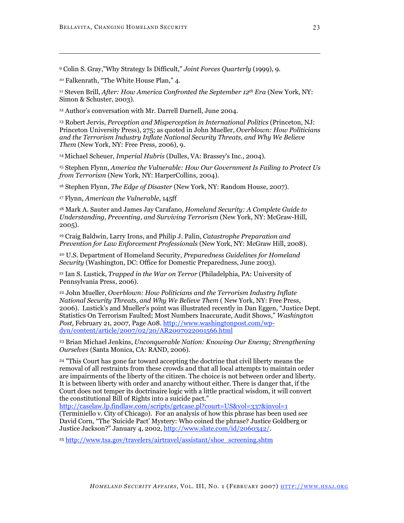<sup>9</sup> Colin S. Gray,"Why Strategy Is Difficult," *Joint Forces Quarterly* (1999), 9.

<sup>10</sup> Falkenrath, "The White House Plan*,*" 4.

 $\overline{a}$ 

<sup>11</sup> Steven Brill, *After: How America Confronted the September 12th Era* (New York, NY: Simon & Schuster, 2003).

<sup>12</sup> Author's conversation with Mr. Darrell Darnell, June 2004.

<sup>13</sup> Robert Jervis, *Perception and Misperception in International Politics* (Princeton, NJ: Princeton University Press), 275; as quoted in John Mueller, *Overblown: How Politicians and the Terrorism Industry Inflate National Security Threats, and Why We Believe Them* (New York, NY: Free Press, 2006), 9.

<sup>14</sup> Michael Scheuer, *Imperial Hubris* (Dulles, VA: Brassey's Inc., 2004).

<sup>15</sup> Stephen Flynn, *America the Vulnerable: How Our Government Is Failing to Protect Us from Terrorism* (New York, NY: HarperCollins, 2004).

<sup>16</sup> Stephen Flynn, *The Edge of Disaster* (New York, NY: Random House, 2007).

<sup>17</sup> Flynn, *American the Vulnerable*, 145ff

<sup>18</sup> Mark A. Sauter and James Jay Carafano, *Homeland Security: A Complete Guide to Understanding, Preventing, and Surviving Terrorism* (New York, NY: McGraw-Hill, 2005).

<sup>19</sup> Craig Baldwin, Larry Irons, and Philip J. Palin, *Catastrophe Preparation and Prevention for Law Enforcement Professionals* (New York, NY: McGraw Hill, 2008).

<sup>20</sup> U.S. Department of Homeland Security, *Preparedness Guidelines for Homeland Security* (Washington, DC: Office for Domestic Preparedness, June 2003).

<sup>21</sup> Ian S. Lustick, *Trapped in the War on Terror* (Philadelphia, PA: University of Pennsylvania Press, 2006).

<sup>22</sup> John Mueller, *Overblown: How Politicians and the Terrorism Industry Inflate National Security Threats, and Why We Believe Them* ( New York, NY: Free Press, 2006). Lustick's and Mueller's point was illustrated recently in Dan Eggen, "Justice Dept. Statistics On Terrorism Faulted; Most Numbers Inaccurate, Audit Shows," *Washington Post,* February 21, 2007, Page A08. http://www.washingtonpost.com/wpdyn/content/article/2007/02/20/AR2007022001566.html

<sup>23</sup> Brian Michael Jenkins, *Unconquerable Nation: Knowing Our Enemy; Strengthening Ourselves* (Santa Monica, CA: RAND, 2006).

<sup>24</sup> "This Court has gone far toward accepting the doctrine that civil liberty means the removal of all restraints from these crowds and that all local attempts to maintain order are impairments of the liberty of the citizen. The choice is not between order and liberty. It is between liberty with order and anarchy without either. There is danger that, if the Court does not temper its doctrinaire logic with a little practical wisdom, it will convert the constitutional Bill of Rights into a suicide pact."

http://caselaw.lp.findlaw.com/scripts/getcase.pl?court=US&vol=337&invol=1 (Terminiello v. City of Chicago). For an analysis of how this phrase has been used see David Corn, "The 'Suicide Pact' Mystery: Who coined the phrase? Justice Goldberg or Justice Jackson?" January 4, 2002, http://www.slate.com/id/2060342/.

<sup>25</sup> http://www.tsa.gov/travelers/airtravel/assistant/shoe\_screening.shtm